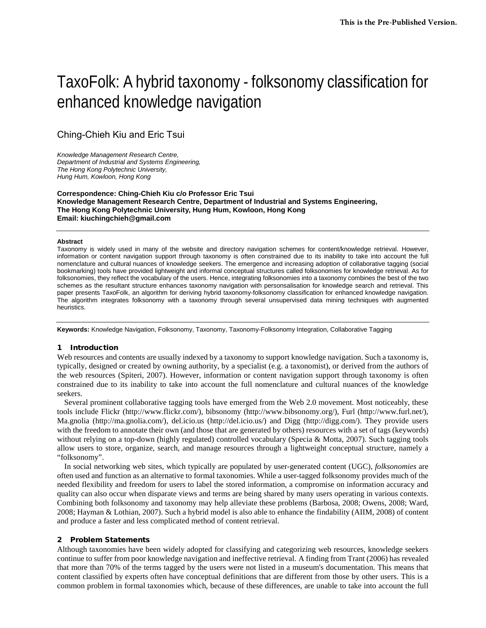# TaxoFolk: A hybrid taxonomy - folksonomy classification for enhanced knowledge navigation

Ching-Chieh Kiu and Eric Tsui

*Knowledge Management Research Centre, Department of Industrial and Systems Engineering, The Hong Kong Polytechnic University, Hung Hum, Kowloon, Hong Kong*

**Correspondence: Ching-Chieh Kiu c/o Professor Eric Tsui Knowledge Management Research Centre, Department of Industrial and Systems Engineering, The Hong Kong Polytechnic University, Hung Hum, Kowloon, Hong Kong Email: kiuchingchieh@gmail.com**

#### **Abstract**

Taxonomy is widely used in many of the website and directory navigation schemes for content/knowledge retrieval. However, information or content navigation support through taxonomy is often constrained due to its inability to take into account the full nomenclature and cultural nuances of knowledge seekers. The emergence and increasing adoption of collaborative tagging (social bookmarking) tools have provided lightweight and informal conceptual structures called folksonomies for knowledge retrieval. As for folksonomies, they reflect the vocabulary of the users. Hence, integrating folksonomies into a taxonomy combines the best of the two schemes as the resultant structure enhances taxonomy navigation with personsalisation for knowledge search and retrieval. This paper presents TaxoFolk, an algorithm for deriving hybrid taxonomy-folksonomy classification for enhanced knowledge navigation. The algorithm integrates folksonomy with a taxonomy through several unsupervised data mining techniques with augmented heuristics.

**Keywords:** Knowledge Navigation, Folksonomy, Taxonomy, Taxonomy-Folksonomy Integration, Collaborative Tagging

#### 1 Introduction

Web resources and contents are usually indexed by a taxonomy to support knowledge navigation. Such a taxonomy is, typically, designed or created by owning authority, by a specialist (e.g. a taxonomist), or derived from the authors of the web resources (Spiteri, 2007). However, information or content navigation support through taxonomy is often constrained due to its inability to take into account the full nomenclature and cultural nuances of the knowledge seekers.

Several prominent collaborative tagging tools have emerged from the Web 2.0 movement. Most noticeably, these tools include Flickr (http://www.flickr.com/), bibsonomy (http://www.bibsonomy.org/), Furl (http://www.furl.net/), Ma.gnolia (http://ma.gnolia.com/), del.icio.us (http://del.icio.us/) and Digg (http://digg.com/). They provide users with the freedom to annotate their own (and those that are generated by others) resources with a set of tags (keywords) without relying on a top-down (highly regulated) controlled vocabulary (Specia & Motta, 2007). Such tagging tools allow users to store, organize, search, and manage resources through a lightweight conceptual structure, namely a "folksonomy".

In social networking web sites, which typically are populated by user-generated content (UGC), *folksonomies* are often used and function as an alternative to formal taxonomies. While a user-tagged folksonomy provides much of the needed flexibility and freedom for users to label the stored information, a compromise on information accuracy and quality can also occur when disparate views and terms are being shared by many users operating in various contexts. Combining both folksonomy and taxonomy may help alleviate these problems (Barbosa, 2008; Owens, 2008; Ward, 2008; Hayman & Lothian, 2007). Such a hybrid model is also able to enhance the findability (AIIM, 2008) of content and produce a faster and less complicated method of content retrieval.

#### 2 Problem Statements

Although taxonomies have been widely adopted for classifying and categorizing web resources, knowledge seekers continue to suffer from poor knowledge navigation and ineffective retrieval. A finding from Trant (2006) has revealed that more than 70% of the terms tagged by the users were not listed in a museum's documentation. This means that content classified by experts often have conceptual definitions that are different from those by other users. This is a common problem in formal taxonomies which, because of these differences, are unable to take into account the full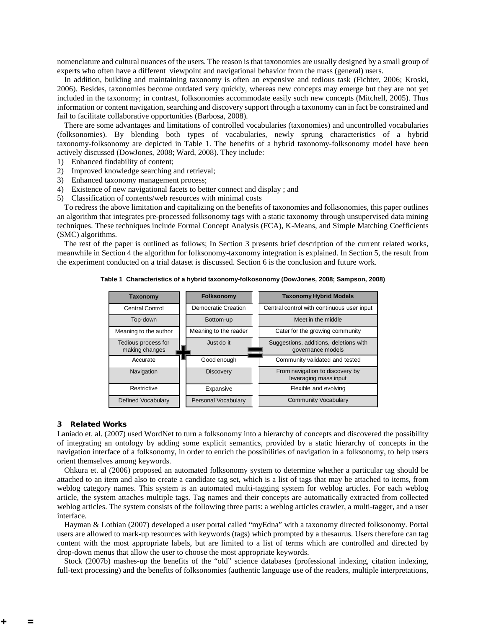nomenclature and cultural nuances of the users. The reason is that taxonomies are usually designed by a small group of experts who often have a different viewpoint and navigational behavior from the mass (general) users.

In addition, building and maintaining taxonomy is often an expensive and tedious task (Fichter, 2006; Kroski, 2006). Besides, taxonomies become outdated very quickly, whereas new concepts may emerge but they are not yet included in the taxonomy; in contrast, folksonomies accommodate easily such new concepts (Mitchell, 2005). Thus information or content navigation, searching and discovery support through a taxonomy can in fact be constrained and fail to facilitate collaborative opportunities (Barbosa, 2008).

There are some advantages and limitations of controlled vocabularies (taxonomies) and uncontrolled vocabularies (folksonomies). By blending both types of vacabularies, newly sprung characteristics of a hybrid taxonomy-folksonomy are depicted in [Table 1.](#page-1-0) The benefits of a hybrid taxonomy-folksonomy model have been actively discussed (DowJones, 2008; Ward, 2008). They include:

- 1) Enhanced findability of content;
- 2) Improved knowledge searching and retrieval;
- 3) Enhanced taxonomy management process;
- 4) Existence of new navigational facets to better connect and display ; and
- 5) Classification of contents/web resources with minimal costs

To redress the above limitation and capitalizing on the benefits of taxonomies and folksonomies, this paper outlines an algorithm that integrates pre-processed folksonomy tags with a static taxonomy through unsupervised data mining techniques. These techniques include Formal Concept Analysis (FCA), K-Means, and Simple Matching Coefficients (SMC) algorithms.

<span id="page-1-0"></span>The rest of the paper is outlined as follows; In Section 3 presents brief description of the current related works, meanwhile in Section 4 the algorithm for folksonomy-taxonomy integration is explained. In Section 5, the result from the experiment conducted on a trial dataset is discussed. Section 6 is the conclusion and future work.

**Table 1 Characteristics of a hybrid taxonomy-folkosonomy (DowJones, 2008; Sampson, 2008)**

| Taxonomy                              | Folksonomy            | <b>Taxonomy Hybrid Models</b>                               |  |  |
|---------------------------------------|-----------------------|-------------------------------------------------------------|--|--|
| <b>Central Control</b>                | Democratic Creation   | Central control with continuous user input                  |  |  |
| Top-down                              | Bottom-up             | Meet in the middle                                          |  |  |
| Meaning to the author                 | Meaning to the reader | Cater for the growing community                             |  |  |
| Tedious process for<br>making changes | Just do it            | Suggestions, additions, deletions with<br>governance models |  |  |
| Accurate                              | Good enough           | Community validated and tested                              |  |  |
| Navigation                            | <b>Discovery</b>      | From navigation to discovery by<br>leveraging mass input    |  |  |
| Restrictive                           | Expansive             | Flexible and evolving                                       |  |  |
| <b>Defined Vocabulary</b>             | Personal Vocabulary   | <b>Community Vocabulary</b>                                 |  |  |

#### 3 Related Works

Laniado et. al. (2007) used WordNet to turn a folksonomy into a hierarchy of concepts and discovered the possibility of integrating an ontology by adding some explicit semantics, provided by a static hierarchy of concepts in the navigation interface of a folksonomy, in order to enrich the possibilities of navigation in a folksonomy, to help users orient themselves among keywords.

Ohkura et. al (2006) proposed an automated folksonomy system to determine whether a particular tag should be attached to an item and also to create a candidate tag set, which is a list of tags that may be attached to items, from weblog category names. This system is an automated multi-tagging system for weblog articles. For each weblog article, the system attaches multiple tags. Tag names and their concepts are automatically extracted from collected weblog articles. The system consists of the following three parts: a weblog articles crawler, a multi-tagger, and a user interface.

Hayman & Lothian (2007) developed a user portal called "myEdna" with a taxonomy directed folksonomy. Portal users are allowed to mark-up resources with keywords (tags) which prompted by a thesaurus. Users therefore can tag content with the most appropriate labels, but are limited to a list of terms which are controlled and directed by drop-down menus that allow the user to choose the most appropriate keywords.

Stock (2007b) mashes-up the benefits of the "old" science databases (professional indexing, citation indexing, full-text processing) and the benefits of folksonomies (authentic language use of the readers, multiple interpretations,

 $=$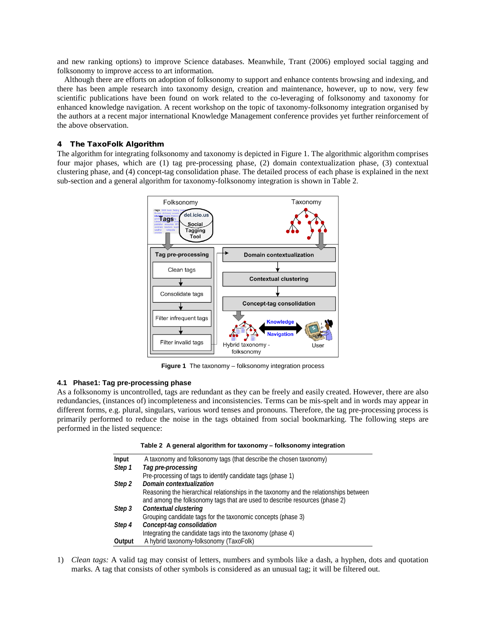and new ranking options) to improve Science databases. Meanwhile, Trant (2006) employed social tagging and folksonomy to improve access to art information.

Although there are efforts on adoption of folksonomy to support and enhance contents browsing and indexing, and there has been ample research into taxonomy design, creation and maintenance, however, up to now, very few scientific publications have been found on work related to the co-leveraging of folksonomy and taxonomy for enhanced knowledge navigation. A recent workshop on the topic of taxonomy-folksonomy integration organised by the authors at a recent major international Knowledge Management conference provides yet further reinforcement of the above observation.

#### 4 The TaxoFolk Algorithm

The algorithm for integrating folksonomy and taxonomy is depicted i[n Figure 1.](#page-2-0) The algorithmic algorithm comprises four major phases, which are (1) tag pre-processing phase, (2) domain contextualization phase, (3) contextual clustering phase, and (4) concept-tag consolidation phase. The detailed process of each phase is explained in the next sub-section and a general algorithm for taxonomy-folksonomy integration is shown in [Table 2.](#page-2-1)



**Figure 1** The taxonomy – folksonomy integration process

#### <span id="page-2-0"></span>**4.1 Phase1: Tag pre-processing phase**

<span id="page-2-1"></span>As a folksonomy is uncontrolled, tags are redundant as they can be freely and easily created. However, there are also redundancies, (instances of) incompleteness and inconsistencies. Terms can be mis-spelt and in words may appear in different forms, e.g. plural, singulars, various word tenses and pronouns. Therefore, the tag pre-processing process is primarily performed to reduce the noise in the tags obtained from social bookmarking. The following steps are performed in the listed sequence:

|  |  |  | Table 2  A general algorithm for taxonomy – folksonomy integration |  |  |
|--|--|--|--------------------------------------------------------------------|--|--|
|--|--|--|--------------------------------------------------------------------|--|--|

| Input  | A taxonomy and folksonomy tags (that describe the chosen taxonomy)                     |
|--------|----------------------------------------------------------------------------------------|
| Step 1 | Tag pre-processing                                                                     |
|        | Pre-processing of tags to identify candidate tags (phase 1)                            |
| Step 2 | Domain contextualization                                                               |
|        | Reasoning the hierarchical relationships in the taxonomy and the relationships between |
|        | and among the folksonomy tags that are used to describe resources (phase 2)            |
| Step 3 | Contextual clustering                                                                  |
|        | Grouping candidate tags for the taxonomic concepts (phase 3)                           |
| Step 4 | Concept-tag consolidation                                                              |
|        | Integrating the candidate tags into the taxonomy (phase 4)                             |
| Output | A hybrid taxonomy-folksonomy (TaxoFolk)                                                |

1) *Clean tags:* A valid tag may consist of letters, numbers and symbols like a dash, a hyphen, dots and quotation marks. A tag that consists of other symbols is considered as an unusual tag; it will be filtered out.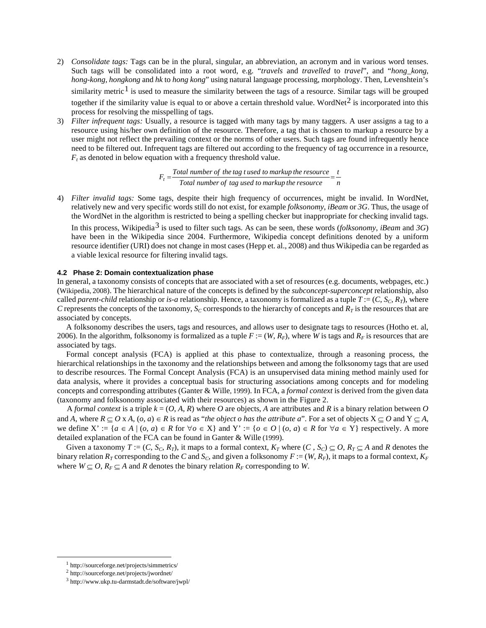- 2) *Consolidate tags:* Tags can be in the plural, singular, an abbreviation, an acronym and in various word tenses. Such tags will be consolidated into a root word, e.g. "*travels* and *travelled* to *travel*", and "*hong\_kong*, *hong-kong, hongkong* and *hk* to *hong kong*" using natural language processing, morphology. Then, Levenshtein's similarity metric<sup>[1](#page-3-0)</sup> is used to measure the similarity between the tags of a resource. Similar tags will be grouped together if the similarity value is equal to or above a certain threshold value. WordNet<sup>[2](#page-3-1)</sup> is incorporated into this process for resolving the misspelling of tags.
- 3) *Filter infrequent tags:* Usually, a resource is tagged with many tags by many taggers. A user assigns a tag to a resource using his/her own definition of the resource. Therefore, a tag that is chosen to markup a resource by a user might not reflect the prevailing context or the norms of other users. Such tags are found infrequently hence need to be filtered out. Infrequent tags are filtered out according to the frequency of tag occurrence in a resource,  $F_t$  as denoted in below equation with a frequency threshold value.

*n t*  $F_t = \frac{Total\ number\ of\ the\ tag\ t\ used\ to\ markup\ the\ resource}{Total\ number\ of\ tag\ used\ to\ markup\ the\ resource}$ 

4) *Filter invalid tags:* Some tags, despite their high frequency of occurrences, might be invalid. In WordNet, relatively new and very specific words still do not exist, for example *folksonomy*, *iBeam* or *3G*. Thus, the usage of the WordNet in the algorithm is restricted to being a spelling checker but inappropriate for checking invalid tags. In this process, Wikipedia<sup>[3](#page-3-2)</sup> is used to filter such tags. As can be seen, these words (*folksonomy*, *iBeam* and 3G) have been in the Wikipedia since 2004. Furthermore, Wikipedia concept definitions denoted by a uniform resource identifier (URI) does not change in most cases (Hepp et. al., 2008) and thus Wikipedia can be regarded as a viable lexical resource for filtering invalid tags.

#### **4.2 Phase 2: Domain contextualization phase**

In general, a taxonomy consists of concepts that are associated with a set of resources (e.g. documents, webpages, etc.) (Wikipedia, 2008). The hierarchical nature of the concepts is defined by the *subconcept-superconcept* relationship, also called *parent-child* relationship or *is-a* relationship. Hence, a taxonomy is formalized as a tuple  $T = (C, S_C, R_T)$ , where *C* represents the concepts of the taxonomy,  $S_C$  corresponds to the hierarchy of concepts and  $R_T$  is the resources that are associated by concepts.

A folksonomy describes the users, tags and resources, and allows user to designate tags to resources (Hotho et. al, 2006). In the algorithm, folksonomy is formalized as a tuple  $F := (W, R_F)$ , where *W* is tags and  $R_F$  is resources that are associated by tags.

Formal concept analysis (FCA) is applied at this phase to contextualize, through a reasoning process, the hierarchical relationships in the taxonomy and the relationships between and among the folksonomy tags that are used to describe resources. The Formal Concept Analysis (FCA) is an unsupervised data mining method mainly used for data analysis, where it provides a conceptual basis for structuring associations among concepts and for modeling concepts and corresponding attributes (Ganter & Wille, 1999). In FCA, a *formal context* is derived from the given data (taxonomy and folksonomy associated with their resources) as shown in the [Figure 2.](#page-4-0)

A *formal context* is a triple  $k = (O, A, R)$  where O are objects, A are attributes and R is a binary relation between O and *A*, where  $R \subseteq O \times A$ ,  $(o, a) \in R$  is read as "*the object o has the attribute a*". For a set of objects  $X \subseteq O$  and  $Y \subseteq A$ , we define  $X' := \{a \in A \mid (o, a) \in R \text{ for } \forall o \in X\}$  and  $Y' := \{o \in O \mid (o, a) \in R \text{ for } \forall a \in Y\}$  respectively. A more detailed explanation of the FCA can be found in Ganter & Wille (1999).

Given a taxonomy  $T := (C, S_C, R_T)$ , it maps to a formal context,  $K_T$  where  $(C, S_C) \subseteq O$ ,  $R_T \subseteq A$  and  $R$  denotes the binary relation  $R_T$  corresponding to the *C* and  $S_C$ , and given a folksonomy  $F := (W, R_F)$ , it maps to a formal context,  $K_F$ where  $W \subseteq O$ ,  $R_F \subseteq A$  and *R* denotes the binary relation  $R_F$  corresponding to *W*.

<span id="page-3-0"></span> <sup>1</sup> http://sourceforge.net/projects/simmetrics/

<span id="page-3-2"></span><span id="page-3-1"></span><sup>2</sup> http://sourceforge.net/projects/jwordnet/

<sup>3</sup> http://www.ukp.tu-darmstadt.de/software/jwpl/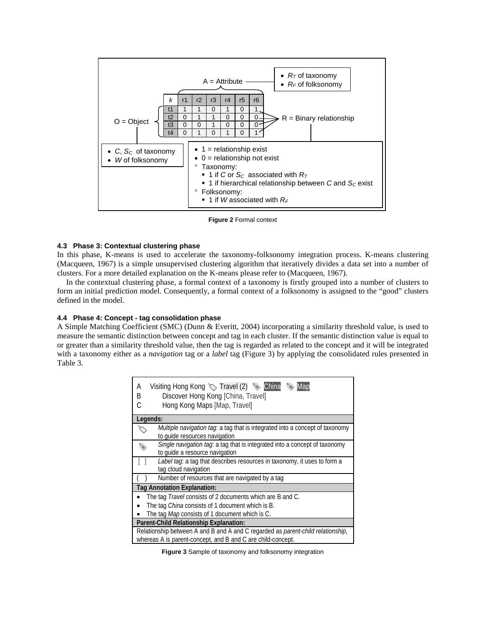

**Figure 2** Formal context

#### <span id="page-4-0"></span>**4.3 Phase 3: Contextual clustering phase**

In this phase, K-means is used to accelerate the taxonomy-folksonomy integration process. K-means clustering (Macqueen, 1967) is a simple unsupervised clustering algorithm that iteratively divides a data set into a number of clusters. For a more detailed explanation on the K-means please refer to (Macqueen, 1967).

In the contextual clustering phase, a formal context of a taxonomy is firstly grouped into a number of clusters to form an initial prediction model. Consequently, a formal context of a folksonomy is assigned to the "good" clusters defined in the model.

### **4.4 Phase 4: Concept - tag consolidation phase**

A Simple Matching Coefficient (SMC) (Dunn & Everitt, 2004) incorporating a similarity threshold value, is used to measure the semantic distinction between concept and tag in each cluster. If the semantic distinction value is equal to or greater than a similarity threshold value, then the tag is regarded as related to the concept and it will be integrated with a taxonomy either as a *navigation* tag or a *label* tag [\(Figure 3\)](#page-4-1) by applying the consolidated rules presented in [Table 3.](#page-5-0)

| Visiting Hong Kong $\Diamond$ Travel (2) $\Diamond$ China<br>Α<br>Map<br>Discover Hong Kong [China, Travel]<br>В<br>Hong Kong Maps [Map, Travel] |  |  |  |  |  |
|--------------------------------------------------------------------------------------------------------------------------------------------------|--|--|--|--|--|
| Legends:                                                                                                                                         |  |  |  |  |  |
| Multiple navigation tag: a tag that is integrated into a concept of taxonomy<br>to quide resources navigation                                    |  |  |  |  |  |
| Single navigation tag: a tag that is integrated into a concept of taxonomy<br>to quide a resource navigation                                     |  |  |  |  |  |
| Label tag: a tag that describes resources in taxonomy, it uses to form a<br>tag cloud navigation                                                 |  |  |  |  |  |
| Number of resources that are navigated by a tag                                                                                                  |  |  |  |  |  |
| Tag Annotation Explanation:                                                                                                                      |  |  |  |  |  |
| The tag Travel consists of 2 documents which are B and C.                                                                                        |  |  |  |  |  |
| The tag China consists of 1 document which is B.                                                                                                 |  |  |  |  |  |
| The tag Map consists of 1 document which is C.                                                                                                   |  |  |  |  |  |
| Parent-Child Relationship Explanation:                                                                                                           |  |  |  |  |  |
| Relationship between A and B and A and C regarded as parent-child relationship,<br>whereas A is parent-concept, and B and C are child-concept.   |  |  |  |  |  |

<span id="page-4-1"></span>**Figure 3** Sample of taxonomy and folksonomy integration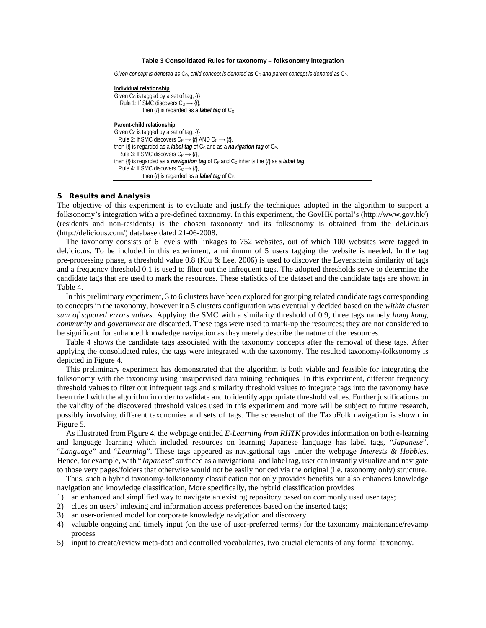**Table 3 Consolidated Rules for taxonomy – folksonomy integration**

<span id="page-5-0"></span>

| Given concept is denoted as $C_0$ , child concept is denoted as $C_0$ and parent concept is denoted as $C_P$ .                                  |
|-------------------------------------------------------------------------------------------------------------------------------------------------|
| Individual relationship                                                                                                                         |
| Given C <sub>0</sub> is tagged by a set of tag, $\{l\}$                                                                                         |
| Rule 1: If SMC discovers $C_0 \rightarrow \{t\}$ ,                                                                                              |
| then $\{f\}$ is regarded as a <b>label tag</b> of $C_0$ .                                                                                       |
| Parent-child relationship                                                                                                                       |
| Given C <sub>c</sub> is tagged by a set of tag, $\{f\}$                                                                                         |
| Rule 2: If SMC discovers $C_P \rightarrow \{f\}$ AND $C_C \rightarrow \{f\}$ ,                                                                  |
| then $\{f\}$ is regarded as a <b>label tag</b> of C <sub>c</sub> and as a <b>navigation tag</b> of C <sub>P</sub> .                             |
| Rule 3: If SMC discovers $C_P \rightarrow \{t\}$ ,                                                                                              |
| then { <i>f</i> } is regarded as a <i>navigation tag</i> of C <sub>P</sub> and C <sub>c</sub> inherits the { <i>f</i> } as a <i>label tag</i> . |
| Rule 4: If SMC discovers $C_c \rightarrow \{t\}$ ,                                                                                              |
| then $\{f\}$ is regarded as a <b>label tag</b> of C <sub>c</sub> .                                                                              |

#### 5 Results and Analysis

The objective of this experiment is to evaluate and justify the techniques adopted in the algorithm to support a folksonomy's integration with a pre-defined taxonomy. In this experiment, the GovHK portal's (http://www.gov.hk/) (residents and non-residents) is the chosen taxonomy and its folksonomy is obtained from the del.icio.us (http://delicious.com/) database dated 21-06-2008.

The taxonomy consists of 6 levels with linkages to 752 websites, out of which 100 websites were tagged in del.icio.us. To be included in this experiment, a minimum of 5 users tagging the website is needed. In the tag pre-processing phase, a threshold value 0.8 (Kiu & Lee, 2006) is used to discover the Levenshtein similarity of tags and a frequency threshold 0.1 is used to filter out the infrequent tags. The adopted thresholds serve to determine the candidate tags that are used to mark the resources. These statistics of the dataset and the candidate tags are shown in [Table 4.](#page-7-0)

In this preliminary experiment, 3 to 6 clusters have been explored for grouping related candidate tags corresponding to concepts in the taxonomy, however it a 5 clusters configuration was eventually decided based on the *within cluster sum of squared errors values*. Applying the SMC with a similarity threshold of 0.9, three tags namely *hong kong*, *community* and *government* are discarded. These tags were used to mark-up the resources; they are not considered to be significant for enhanced knowledge navigation as they merely describe the nature of the resources.

[Table 4](#page-7-0) shows the candidate tags associated with the taxonomy concepts after the removal of these tags. After applying the consolidated rules, the tags were integrated with the taxonomy. The resulted taxonomy-folksonomy is depicted i[n Figure 4.](#page-6-0) 

This preliminary experiment has demonstrated that the algorithm is both viable and feasible for integrating the folksonomy with the taxonomy using unsupervised data mining techniques. In this experiment, different frequency threshold values to filter out infrequent tags and similarity threshold values to integrate tags into the taxonomy have been tried with the algorithm in order to validate and to identify appropriate threshold values. Further justifications on the validity of the discovered threshold values used in this experiment and more will be subject to future research, possibly involving different taxonomies and sets of tags. The screenshot of the TaxoFolk navigation is shown in [Figure 5.](#page-8-0)

As illustrated fro[m Figure 4,](#page-6-0) the webpage entitled *E-Learning from RHTK* provides information on both e-learning and language learning which included resources on learning Japanese language has label tags, "*Japanese*", "*Language*" and "*Learning*". These tags appeared as navigational tags under the webpage *Interests & Hobbies*. Hence, for example, with "*Japanese*" surfaced as a navigational and label tag, user can instantly visualize and navigate to those very pages/folders that otherwise would not be easily noticed via the original (i.e. taxonomy only) structure.

Thus, such a hybrid taxonomy-folksonomy classification not only provides benefits but also enhances knowledge navigation and knowledge classification, More specifically, the hybrid classification provides

- 1) an enhanced and simplified way to navigate an existing repository based on commonly used user tags;
- 2) clues on users' indexing and information access preferences based on the inserted tags;
- 3) an user-oriented model for corporate knowledge navigation and discovery
- 4) valuable ongoing and timely input (on the use of user-preferred terms) for the taxonomy maintenance/revamp process
- 5) input to create/review meta-data and controlled vocabularies, two crucial elements of any formal taxonomy.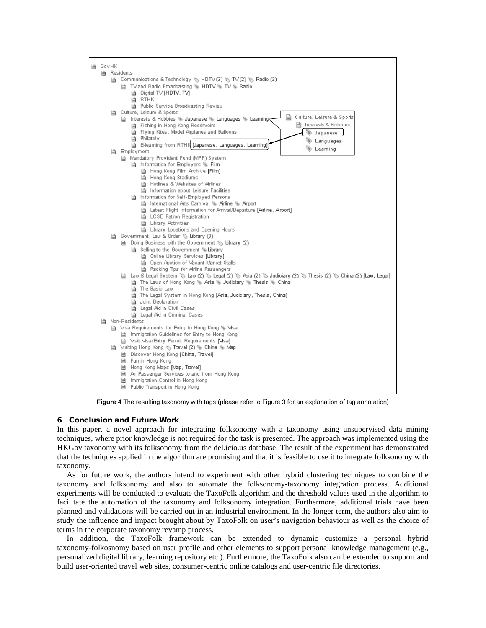

**Figure 4** The resulting taxonomy with tags (please refer t[o Figure 3](#page-4-1) for an explanation of tag annotation)

#### <span id="page-6-0"></span>6 Conclusion and Future Work

In this paper, a novel approach for integrating folksonomy with a taxonomy using unsupervised data mining techniques, where prior knowledge is not required for the task is presented. The approach was implemented using the HKGov taxonomy with its folksonomy from the del.icio.us database. The result of the experiment has demonstrated that the techniques applied in the algorithm are promising and that it is feasible to use it to integrate folksonomy with taxonomy.

As for future work, the authors intend to experiment with other hybrid clustering techniques to combine the taxonomy and folksonomy and also to automate the folksonomy-taxonomy integration process. Additional experiments will be conducted to evaluate the TaxoFolk algorithm and the threshold values used in the algorithm to facilitate the automation of the taxonomy and folksonomy integration. Furthermore, additional trials have been planned and validations will be carried out in an industrial environment. In the longer term, the authors also aim to study the influence and impact brought about by TaxoFolk on user's navigation behaviour as well as the choice of terms in the corporate taxonomy revamp process.

In addition, the TaxoFolk framework can be extended to dynamic customize a personal hybrid taxonomy-folkosnomy based on user profile and other elements to support personal knowledge management (e.g., personalized digital library, learning repository etc.). Furthermore, the TaxoFolk also can be extended to support and build user-oriented travel web sites, consumer-centric online catalogs and user-centric file directories.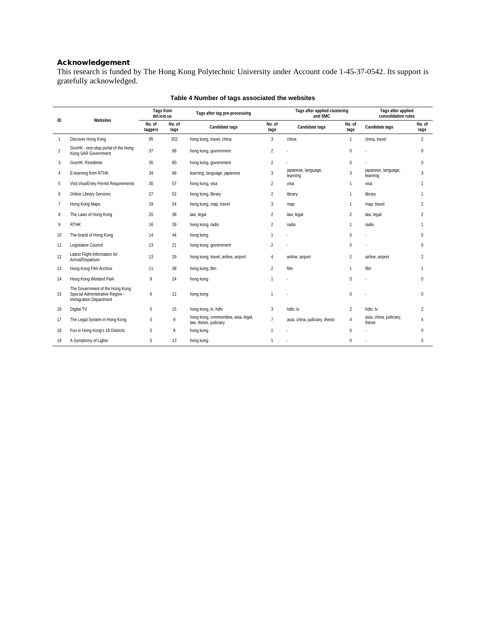# Acknowledgement

This research is funded by The Hong Kong Polytechnic University under Account code 1-45-37-0542. Its support is gratefully acknowledged.

<span id="page-7-0"></span>

|                | Websites                                                                                     | Tags from<br>del.icio.us |                | Tags after tag pre-processing                                  |                | Tags after applied clustering<br>and SMC |                | Tags after applied<br>consolidation rules |                |
|----------------|----------------------------------------------------------------------------------------------|--------------------------|----------------|----------------------------------------------------------------|----------------|------------------------------------------|----------------|-------------------------------------------|----------------|
| ID             |                                                                                              | No. of<br>taggers        | No. of<br>tags | Candidate tags                                                 | No. of<br>tags | Candidate tags                           | No. of<br>tags | Candidate tags                            | No. of<br>tags |
| 1              | Discover Hong Kong                                                                           | 95                       | 202            | hong kong, travel, china                                       | 3              | china                                    | $\mathbf{1}$   | china, travel                             | $\overline{2}$ |
| $\overline{2}$ | GovHK - one-stop portal of the Hong<br>Kong SAR Government                                   | 37                       | 98             | hong kong, government                                          | $\overline{2}$ |                                          | $\mathbf 0$    |                                           | $\mathbf 0$    |
| 3              | GovHK: Residents                                                                             | 35                       | 80             | hong kong, government                                          | $\overline{2}$ |                                          | $\mathbf 0$    |                                           | $\Omega$       |
| 4              | E-learning from RTHK                                                                         | 34                       | 68             | learning, language, japanese                                   | 3              | japanese, language,<br>learning          | 3              | japanese, language,<br>learning           | 3              |
| 5              | Visit Visa/Entry Permit Requirements                                                         | 30                       | 57             | hong kong, visa                                                | $\overline{2}$ | visa                                     | $\mathbf{1}$   | visa                                      | $\mathbf{1}$   |
| 6              | Online Library Services                                                                      | 27                       | 52             | hong kong, library                                             | $\overline{2}$ | library                                  | $\mathbf{1}$   | library                                   | 1              |
| 7              | Hong Kong Maps                                                                               | 19                       | 54             | hong kong, map, travel                                         | 3              | map                                      | 1              | map, travel                               | $\mathfrak{D}$ |
| 8              | The Laws of Hong Kong                                                                        | 20                       | 38             | law, legal                                                     | $\overline{2}$ | law, legal                               | 2              | law, legal                                | $\overline{2}$ |
| 9              | <b>RTHK</b>                                                                                  | 16                       | 39             | hong kong, radio                                               | $\overline{2}$ | radio                                    | $\mathbf{1}$   | radio                                     |                |
| 10             | The brand of Hong Kong                                                                       | 14                       | 44             | hong kong                                                      | $\mathbf{1}$   |                                          | $\mathbf 0$    |                                           | $\Omega$       |
| 11             | Legislative Council                                                                          | 13                       | 21             | hong kong, government                                          | $\overline{2}$ |                                          | $\mathbf 0$    |                                           | 0              |
| 12             | Latest Flight Information for<br>Arrival/Departure                                           | 13                       | 29             | hong kong, travel, airline, airport                            | $\overline{4}$ | airline, airport                         | $\overline{2}$ | airline, airport                          | $\overline{2}$ |
| 13             | Hong Kong Film Archive                                                                       | 11                       | 38             | hong kong, film                                                | $\overline{2}$ | film                                     | $\mathbf{1}$   | film                                      | -1             |
| 14             | Hong Kong Wetland Park                                                                       | 9                        | 24             | hong kong                                                      | 1              |                                          | $\Omega$       |                                           | $\Omega$       |
| 15             | The Government of the Hong Kong<br>Special Administrative Region -<br>Immigration Department | 6                        | 12             | hong kong                                                      | 1              |                                          | $\mathbf 0$    |                                           | $\Omega$       |
| 16             | Digital TV                                                                                   | 5                        | 15             | hong kong, tv, hdtv                                            | $\overline{3}$ | hdtv, tv                                 | $\overline{2}$ | hdtv, tv                                  | $\overline{2}$ |
| 17             | The Legal System in Hong Kong                                                                | 5                        | 9              | hong kong, communities, asia, legal,<br>law, thesis, judiciary | $\overline{7}$ | asia, china, judiciary, thesis           | $\overline{4}$ | asia, china, judiciary,<br>thesis         | 4              |
| 18             | Fun in Hong Kong's 18 Districts                                                              | 5                        | 8              | hong kong                                                      | 1              |                                          | $\mathbf 0$    |                                           | $\Omega$       |
| 19             | A Symphony of Lights                                                                         | 5                        | 13             | hong kong                                                      | 1              |                                          | $\Omega$       |                                           | $\Omega$       |

## **Table 4 Number of tags associated the websites**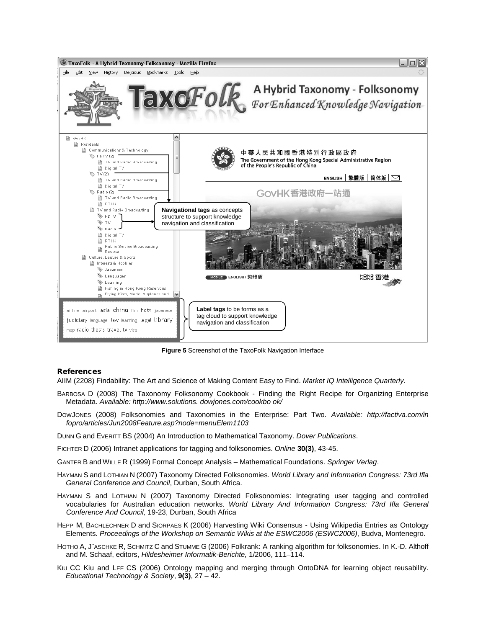

**Figure 5** Screenshot of the TaxoFolk Navigation Interface

#### <span id="page-8-0"></span>References

AIIM (2208) Findability: The Art and Science of Making Content Easy to Find. *Market IQ Intelligence Quarterly*.

- BARBOSA D (2008) The Taxonomy Folksonomy Cookbook Finding the Right Recipe for Organizing Enterprise Metadata. *Available: http://www.solutions. dowjones.com/cookbo ok/*
- DOWJONES (2008) Folksonomies and Taxonomies in the Enterprise: Part Two. *Available: http://factiva.com/in fopro/articles/Jun2008Feature.asp?node=menuElem1103*
- DUNN G and EVERITT BS (2004) An Introduction to Mathematical Taxonomy. *Dover Publications*.
- FICHTER D (2006) Intranet applications for tagging and folksonomies. *Online* **30(3)**, 43-45.
- GANTER B and WILLE R (1999) Formal Concept Analysis Mathematical Foundations. *Springer Verlag*.
- HAYMAN S and LOTHIAN N (2007) Taxonomy Directed Folksonomies. *World Library and Information Congress: 73rd Ifla General Conference and Council*, Durban, South Africa.
- HAYMAN S and LOTHIAN N (2007) Taxonomy Directed Folksonomies: Integrating user tagging and controlled vocabularies for Australian education networks. *World Library And Information Congress: 73rd Ifla General Conference And Council*, 19-23, Durban, South Africa
- HEPP M, BACHLECHNER D and SIORPAES K (2006) Harvesting Wiki Consensus Using Wikipedia Entries as Ontology Elements. *Proceedings of the Workshop on Semantic Wikis at the ESWC2006 (ESWC2006)*, Budva, Montenegro.
- HOTHO A, J¨ASCHKE R, SCHMITZ C and STUMME G (2006) Folkrank: A ranking algorithm for folksonomies. In K.-D. Althoff and M. Schaaf, editors, *Hildesheimer Informatik-Berichte,* 1/2006, 111–114.
- KIU CC Kiu and LEE CS (2006) Ontology mapping and merging through OntoDNA for learning object reusability. *Educational Technology & Society*, **9(3)**, 27 – 42.